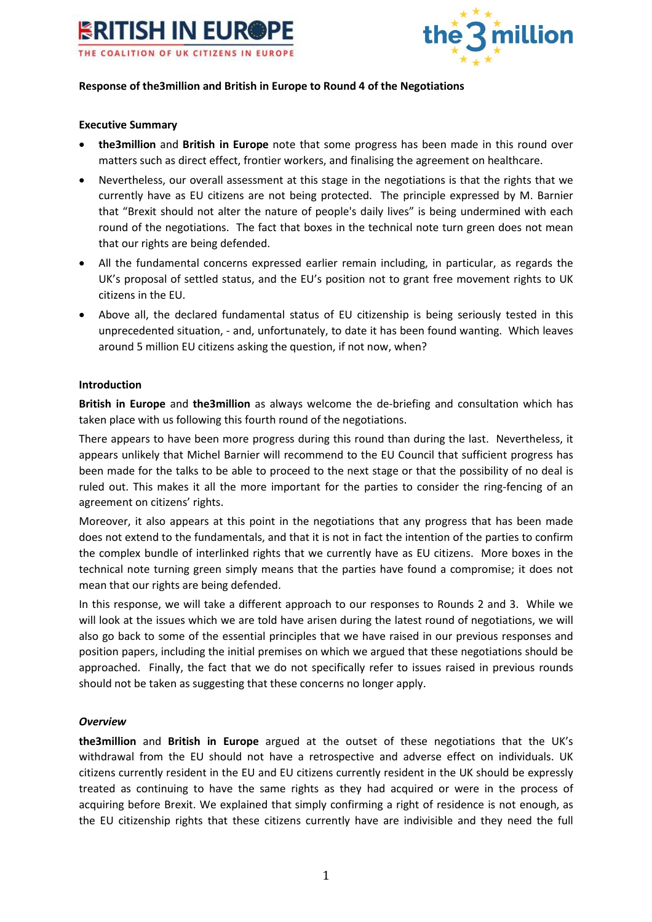



### **Response of the3million and British in Europe to Round 4 of the Negotiations**

### **Executive Summary**

- **the3million** and **British in Europe** note that some progress has been made in this round over matters such as direct effect, frontier workers, and finalising the agreement on healthcare.
- Nevertheless, our overall assessment at this stage in the negotiations is that the rights that we currently have as EU citizens are not being protected. The principle expressed by M. Barnier that "Brexit should not alter the nature of people's daily lives" is being undermined with each round of the negotiations. The fact that boxes in the technical note turn green does not mean that our rights are being defended.
- All the fundamental concerns expressed earlier remain including, in particular, as regards the UK's proposal of settled status, and the EU's position not to grant free movement rights to UK citizens in the EU.
- Above all, the declared fundamental status of EU citizenship is being seriously tested in this unprecedented situation, - and, unfortunately, to date it has been found wanting. Which leaves around 5 million EU citizens asking the question, if not now, when?

### **Introduction**

**British in Europe** and **the3million** as always welcome the de-briefing and consultation which has taken place with us following this fourth round of the negotiations.

There appears to have been more progress during this round than during the last. Nevertheless, it appears unlikely that Michel Barnier will recommend to the EU Council that sufficient progress has been made for the talks to be able to proceed to the next stage or that the possibility of no deal is ruled out. This makes it all the more important for the parties to consider the ring-fencing of an agreement on citizens' rights.

Moreover, it also appears at this point in the negotiations that any progress that has been made does not extend to the fundamentals, and that it is not in fact the intention of the parties to confirm the complex bundle of interlinked rights that we currently have as EU citizens. More boxes in the technical note turning green simply means that the parties have found a compromise; it does not mean that our rights are being defended.

In this response, we will take a different approach to our responses to Rounds 2 and 3. While we will look at the issues which we are told have arisen during the latest round of negotiations, we will also go back to some of the essential principles that we have raised in our previous responses and position papers, including the initial premises on which we argued that these negotiations should be approached. Finally, the fact that we do not specifically refer to issues raised in previous rounds should not be taken as suggesting that these concerns no longer apply.

# *Overview*

**the3million** and **British in Europe** argued at the outset of these negotiations that the UK's withdrawal from the EU should not have a retrospective and adverse effect on individuals. UK citizens currently resident in the EU and EU citizens currently resident in the UK should be expressly treated as continuing to have the same rights as they had acquired or were in the process of acquiring before Brexit. We explained that simply confirming a right of residence is not enough, as the EU citizenship rights that these citizens currently have are indivisible and they need the full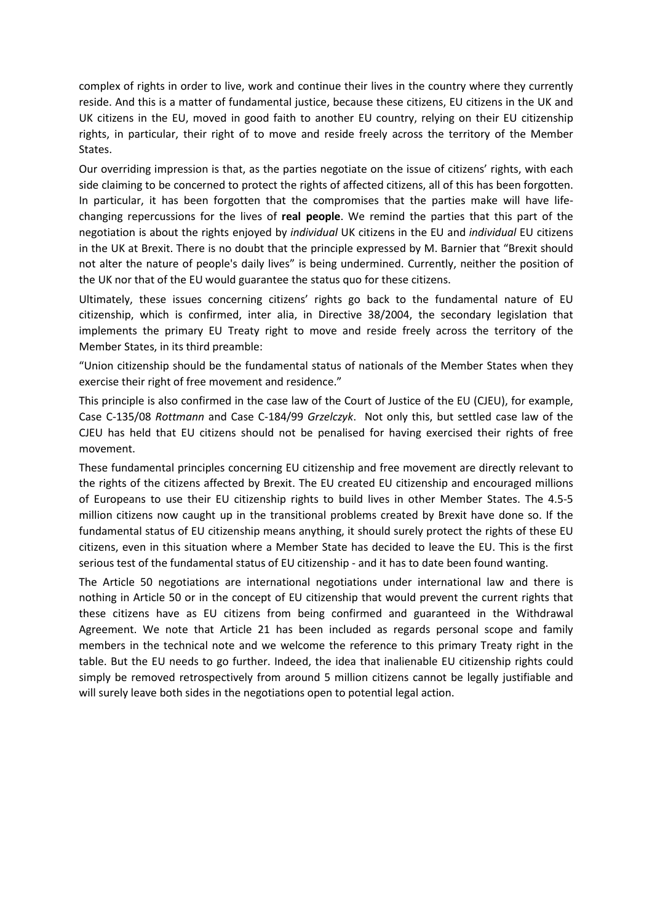complex of rights in order to live, work and continue their lives in the country where they currently reside. And this is a matter of fundamental justice, because these citizens, EU citizens in the UK and UK citizens in the EU, moved in good faith to another EU country, relying on their EU citizenship rights, in particular, their right of to move and reside freely across the territory of the Member States.

Our overriding impression is that, as the parties negotiate on the issue of citizens' rights, with each side claiming to be concerned to protect the rights of affected citizens, all of this has been forgotten. In particular, it has been forgotten that the compromises that the parties make will have lifechanging repercussions for the lives of **real people**. We remind the parties that this part of the negotiation is about the rights enjoyed by *individual* UK citizens in the EU and *individual* EU citizens in the UK at Brexit. There is no doubt that the principle expressed by M. Barnier that "Brexit should not alter the nature of people's daily lives" is being undermined. Currently, neither the position of the UK nor that of the EU would guarantee the status quo for these citizens.

Ultimately, these issues concerning citizens' rights go back to the fundamental nature of EU citizenship, which is confirmed, inter alia, in Directive 38/2004, the secondary legislation that implements the primary EU Treaty right to move and reside freely across the territory of the Member States, in its third preamble:

"Union citizenship should be the fundamental status of nationals of the Member States when they exercise their right of free movement and residence."

This principle is also confirmed in the case law of the Court of Justice of the EU (CJEU), for example, Case C-135/08 *Rottmann* and Case C-184/99 *Grzelczyk*. Not only this, but settled case law of the CJEU has held that EU citizens should not be penalised for having exercised their rights of free movement.

These fundamental principles concerning EU citizenship and free movement are directly relevant to the rights of the citizens affected by Brexit. The EU created EU citizenship and encouraged millions of Europeans to use their EU citizenship rights to build lives in other Member States. The 4.5-5 million citizens now caught up in the transitional problems created by Brexit have done so. If the fundamental status of EU citizenship means anything, it should surely protect the rights of these EU citizens, even in this situation where a Member State has decided to leave the EU. This is the first serious test of the fundamental status of EU citizenship - and it has to date been found wanting.

The Article 50 negotiations are international negotiations under international law and there is nothing in Article 50 or in the concept of EU citizenship that would prevent the current rights that these citizens have as EU citizens from being confirmed and guaranteed in the Withdrawal Agreement. We note that Article 21 has been included as regards personal scope and family members in the technical note and we welcome the reference to this primary Treaty right in the table. But the EU needs to go further. Indeed, the idea that inalienable EU citizenship rights could simply be removed retrospectively from around 5 million citizens cannot be legally justifiable and will surely leave both sides in the negotiations open to potential legal action.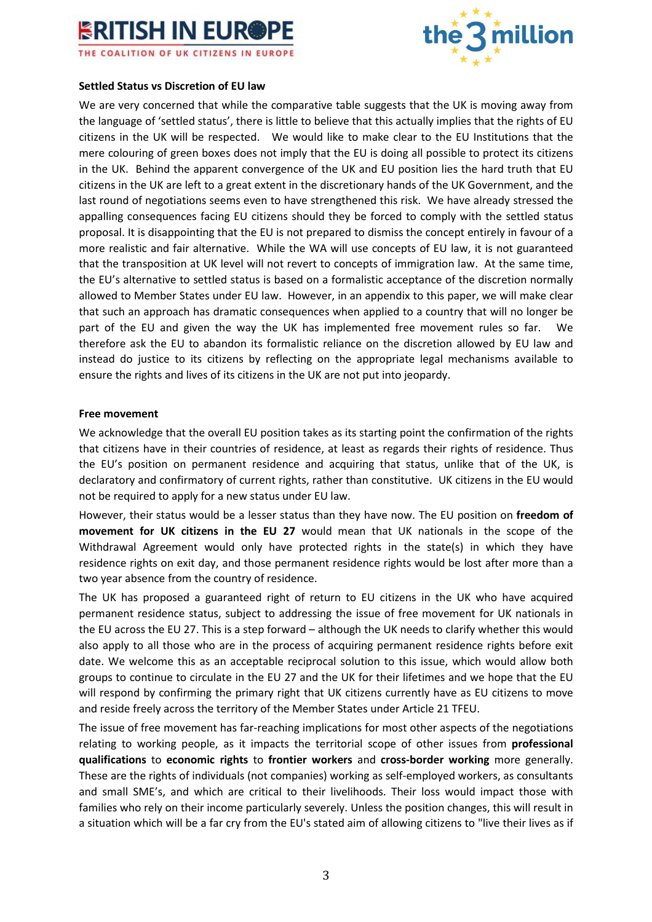



### **Settled Status vs Discretion of EU law**

We are very concerned that while the comparative table suggests that the UK is moving away from the language of 'settled status', there is little to believe that this actually implies that the rights of EU citizens in the UK will be respected. We would like to make clear to the EU Institutions that the mere colouring of green boxes does not imply that the EU is doing all possible to protect its citizens in the UK. Behind the apparent convergence of the UK and EU position lies the hard truth that EU citizens in the UK are left to a great extent in the discretionary hands of the UK Government, and the last round of negotiations seems even to have strengthened this risk. We have already stressed the appalling consequences facing EU citizens should they be forced to comply with the settled status proposal. It is disappointing that the EU is not prepared to dismiss the concept entirely in favour of a more realistic and fair alternative. While the WA will use concepts of EU law, it is not guaranteed that the transposition at UK level will not revert to concepts of immigration law. At the same time, the EU's alternative to settled status is based on a formalistic acceptance of the discretion normally allowed to Member States under EU law. However, in an appendix to this paper, we will make clear that such an approach has dramatic consequences when applied to a country that will no longer be part of the EU and given the way the UK has implemented free movement rules so far. We therefore ask the EU to abandon its formalistic reliance on the discretion allowed by EU law and instead do justice to its citizens by reflecting on the appropriate legal mechanisms available to ensure the rights and lives of its citizens in the UK are not put into jeopardy.

#### **Free movement**

We acknowledge that the overall EU position takes as its starting point the confirmation of the rights that citizens have in their countries of residence, at least as regards their rights of residence. Thus the EU's position on permanent residence and acquiring that status, unlike that of the UK, is declaratory and confirmatory of current rights, rather than constitutive. UK citizens in the EU would not be required to apply for a new status under EU law.

However, their status would be a lesser status than they have now. The EU position on **freedom of movement for UK citizens in the EU 27** would mean that UK nationals in the scope of the Withdrawal Agreement would only have protected rights in the state(s) in which they have residence rights on exit day, and those permanent residence rights would be lost after more than a two year absence from the country of residence.

The UK has proposed a guaranteed right of return to EU citizens in the UK who have acquired permanent residence status, subject to addressing the issue of free movement for UK nationals in the EU across the EU 27. This is a step forward – although the UK needs to clarify whether this would also apply to all those who are in the process of acquiring permanent residence rights before exit date. We welcome this as an acceptable reciprocal solution to this issue, which would allow both groups to continue to circulate in the EU 27 and the UK for their lifetimes and we hope that the EU will respond by confirming the primary right that UK citizens currently have as EU citizens to move and reside freely across the territory of the Member States under Article 21 TFEU.

The issue of free movement has far-reaching implications for most other aspects of the negotiations relating to working people, as it impacts the territorial scope of other issues from **professional qualifications** to **economic rights** to **frontier workers** and **cross-border working** more generally. These are the rights of individuals (not companies) working as self-employed workers, as consultants and small SME's, and which are critical to their livelihoods. Their loss would impact those with families who rely on their income particularly severely. Unless the position changes, this will result in a situation which will be a far cry from the EU's stated aim of allowing citizens to "live their lives as if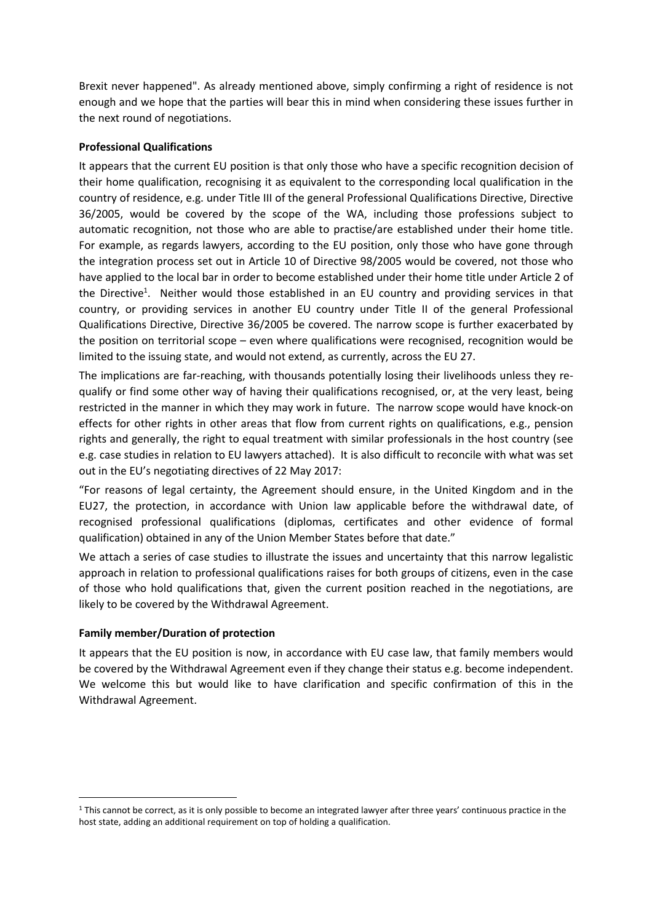Brexit never happened". As already mentioned above, simply confirming a right of residence is not enough and we hope that the parties will bear this in mind when considering these issues further in the next round of negotiations.

## **Professional Qualifications**

It appears that the current EU position is that only those who have a specific recognition decision of their home qualification, recognising it as equivalent to the corresponding local qualification in the country of residence, e.g. under Title III of the general Professional Qualifications Directive, Directive 36/2005, would be covered by the scope of the WA, including those professions subject to automatic recognition, not those who are able to practise/are established under their home title. For example, as regards lawyers, according to the EU position, only those who have gone through the integration process set out in Article 10 of Directive 98/2005 would be covered, not those who have applied to the local bar in order to become established under their home title under Article 2 of the Directive<sup>1</sup>. Neither would those established in an EU country and providing services in that country, or providing services in another EU country under Title II of the general Professional Qualifications Directive, Directive 36/2005 be covered. The narrow scope is further exacerbated by the position on territorial scope – even where qualifications were recognised, recognition would be limited to the issuing state, and would not extend, as currently, across the EU 27.

The implications are far-reaching, with thousands potentially losing their livelihoods unless they requalify or find some other way of having their qualifications recognised, or, at the very least, being restricted in the manner in which they may work in future. The narrow scope would have knock-on effects for other rights in other areas that flow from current rights on qualifications, e.g., pension rights and generally, the right to equal treatment with similar professionals in the host country (see e.g. case studies in relation to EU lawyers attached). It is also difficult to reconcile with what was set out in the EU's negotiating directives of 22 May 2017:

"For reasons of legal certainty, the Agreement should ensure, in the United Kingdom and in the EU27, the protection, in accordance with Union law applicable before the withdrawal date, of recognised professional qualifications (diplomas, certificates and other evidence of formal qualification) obtained in any of the Union Member States before that date."

We attach a series of case studies to illustrate the issues and uncertainty that this narrow legalistic approach in relation to professional qualifications raises for both groups of citizens, even in the case of those who hold qualifications that, given the current position reached in the negotiations, are likely to be covered by the Withdrawal Agreement.

### **Family member/Duration of protection**

 $\overline{a}$ 

It appears that the EU position is now, in accordance with EU case law, that family members would be covered by the Withdrawal Agreement even if they change their status e.g. become independent. We welcome this but would like to have clarification and specific confirmation of this in the Withdrawal Agreement.

<sup>&</sup>lt;sup>1</sup> This cannot be correct, as it is only possible to become an integrated lawyer after three years' continuous practice in the host state, adding an additional requirement on top of holding a qualification.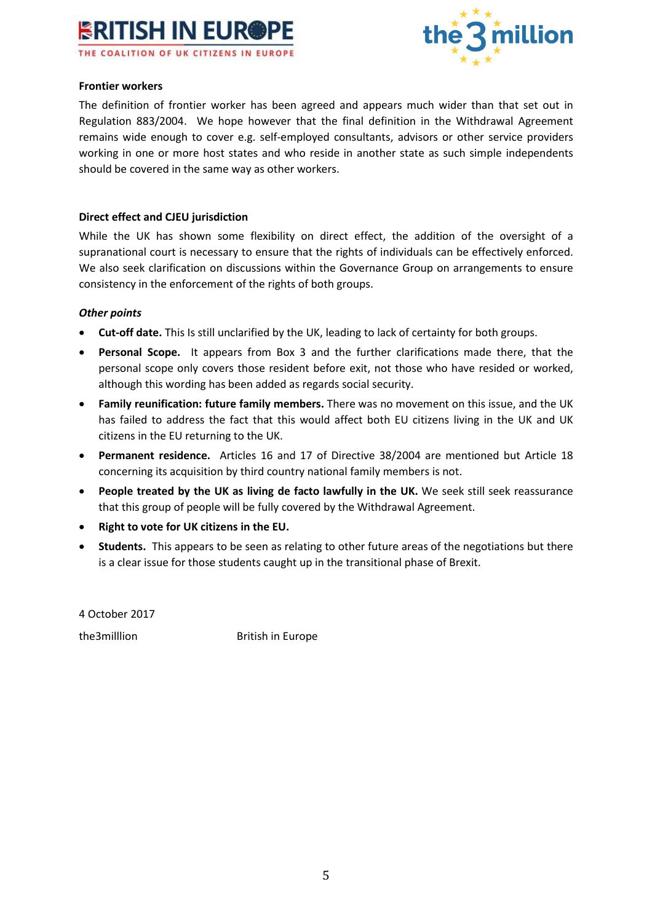



### **Frontier workers**

The definition of frontier worker has been agreed and appears much wider than that set out in Regulation 883/2004. We hope however that the final definition in the Withdrawal Agreement remains wide enough to cover e.g. self-employed consultants, advisors or other service providers working in one or more host states and who reside in another state as such simple independents should be covered in the same way as other workers.

### **Direct effect and CJEU jurisdiction**

While the UK has shown some flexibility on direct effect, the addition of the oversight of a supranational court is necessary to ensure that the rights of individuals can be effectively enforced. We also seek clarification on discussions within the Governance Group on arrangements to ensure consistency in the enforcement of the rights of both groups.

### *Other points*

- **Cut-off date.** This Is still unclarified by the UK, leading to lack of certainty for both groups.
- **Personal Scope.** It appears from Box 3 and the further clarifications made there, that the personal scope only covers those resident before exit, not those who have resided or worked, although this wording has been added as regards social security.
- **Family reunification: future family members.** There was no movement on this issue, and the UK has failed to address the fact that this would affect both EU citizens living in the UK and UK citizens in the EU returning to the UK.
- **Permanent residence.** Articles 16 and 17 of Directive 38/2004 are mentioned but Article 18 concerning its acquisition by third country national family members is not.
- **People treated by the UK as living de facto lawfully in the UK.** We seek still seek reassurance that this group of people will be fully covered by the Withdrawal Agreement.
- **Right to vote for UK citizens in the EU.**
- **Students.** This appears to be seen as relating to other future areas of the negotiations but there is a clear issue for those students caught up in the transitional phase of Brexit.

4 October 2017

the3milllion British in Europe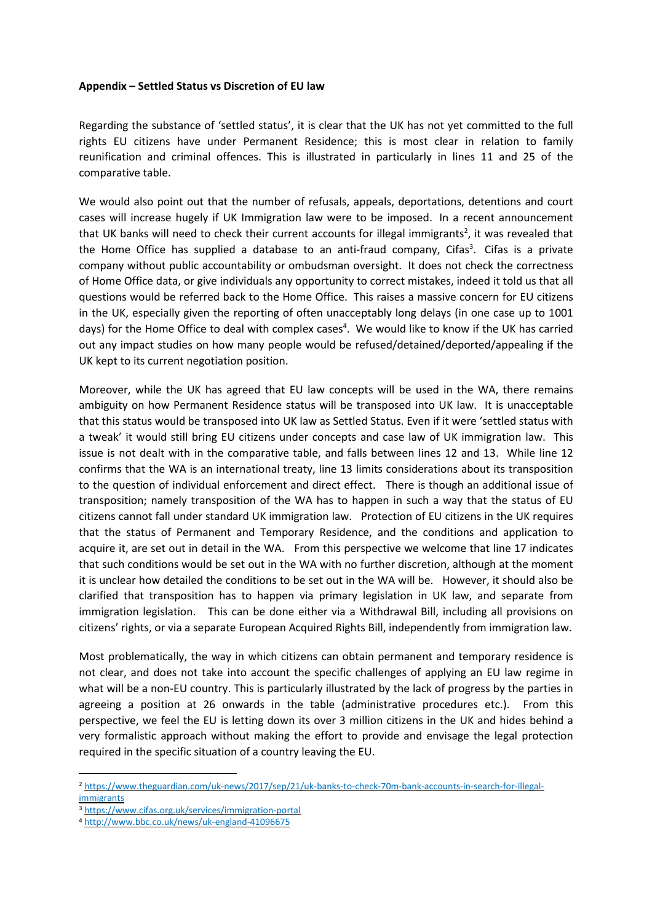### **Appendix – Settled Status vs Discretion of EU law**

Regarding the substance of 'settled status', it is clear that the UK has not yet committed to the full rights EU citizens have under Permanent Residence; this is most clear in relation to family reunification and criminal offences. This is illustrated in particularly in lines 11 and 25 of the comparative table.

We would also point out that the number of refusals, appeals, deportations, detentions and court cases will increase hugely if UK Immigration law were to be imposed. In a recent announcement that UK banks will need to check their current accounts for illegal immigrants<sup>2</sup>, it was revealed that the Home Office has supplied a database to an anti-fraud company, Cifas<sup>3</sup>. Cifas is a private company without public accountability or ombudsman oversight. It does not check the correctness of Home Office data, or give individuals any opportunity to correct mistakes, indeed it told us that all questions would be referred back to the Home Office. This raises a massive concern for EU citizens in the UK, especially given the reporting of often unacceptably long delays (in one case up to 1001 days) for the Home Office to deal with complex cases<sup>4</sup>. We would like to know if the UK has carried out any impact studies on how many people would be refused/detained/deported/appealing if the UK kept to its current negotiation position.

Moreover, while the UK has agreed that EU law concepts will be used in the WA, there remains ambiguity on how Permanent Residence status will be transposed into UK law. It is unacceptable that this status would be transposed into UK law as Settled Status. Even if it were 'settled status with a tweak' it would still bring EU citizens under concepts and case law of UK immigration law. This issue is not dealt with in the comparative table, and falls between lines 12 and 13. While line 12 confirms that the WA is an international treaty, line 13 limits considerations about its transposition to the question of individual enforcement and direct effect. There is though an additional issue of transposition; namely transposition of the WA has to happen in such a way that the status of EU citizens cannot fall under standard UK immigration law. Protection of EU citizens in the UK requires that the status of Permanent and Temporary Residence, and the conditions and application to acquire it, are set out in detail in the WA. From this perspective we welcome that line 17 indicates that such conditions would be set out in the WA with no further discretion, although at the moment it is unclear how detailed the conditions to be set out in the WA will be. However, it should also be clarified that transposition has to happen via primary legislation in UK law, and separate from immigration legislation. This can be done either via a Withdrawal Bill, including all provisions on citizens' rights, or via a separate European Acquired Rights Bill, independently from immigration law.

Most problematically, the way in which citizens can obtain permanent and temporary residence is not clear, and does not take into account the specific challenges of applying an EU law regime in what will be a non-EU country. This is particularly illustrated by the lack of progress by the parties in agreeing a position at 26 onwards in the table (administrative procedures etc.). From this perspective, we feel the EU is letting down its over 3 million citizens in the UK and hides behind a very formalistic approach without making the effort to provide and envisage the legal protection required in the specific situation of a country leaving the EU.

 $\overline{a}$ 

<sup>2</sup> [https://www.theguardian.com/uk-news/2017/sep/21/uk-banks-to-check-70m-bank-accounts-in-search-for-illegal](https://www.theguardian.com/uk-news/2017/sep/21/uk-banks-to-check-70m-bank-accounts-in-search-for-illegal-immigrants)[immigrants](https://www.theguardian.com/uk-news/2017/sep/21/uk-banks-to-check-70m-bank-accounts-in-search-for-illegal-immigrants)

<sup>3</sup> <https://www.cifas.org.uk/services/immigration-portal>

<sup>4</sup> <http://www.bbc.co.uk/news/uk-england-41096675>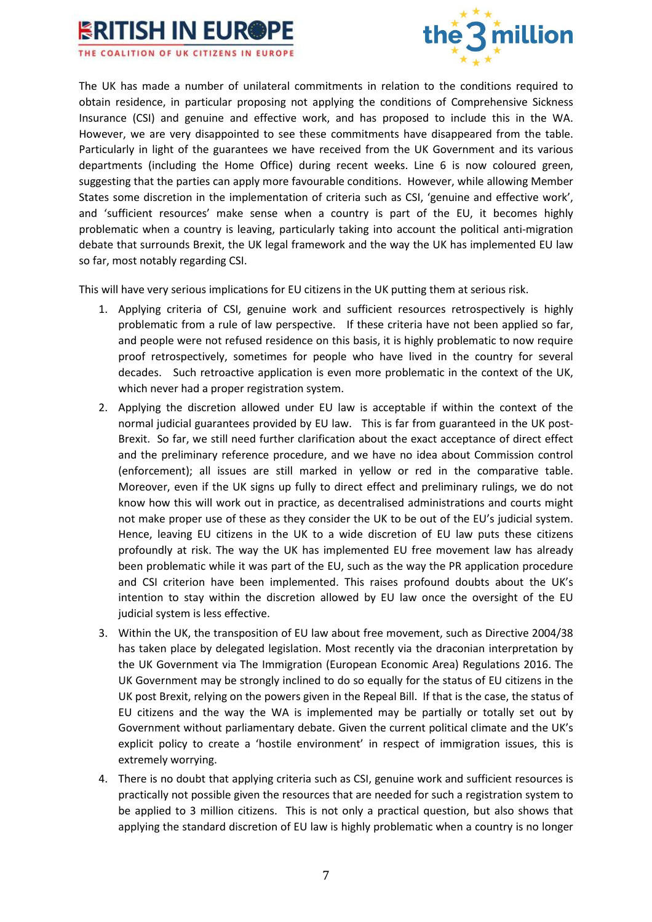



The UK has made a number of unilateral commitments in relation to the conditions required to obtain residence, in particular proposing not applying the conditions of Comprehensive Sickness Insurance (CSI) and genuine and effective work, and has proposed to include this in the WA. However, we are very disappointed to see these commitments have disappeared from the table. Particularly in light of the guarantees we have received from the UK Government and its various departments (including the Home Office) during recent weeks. Line 6 is now coloured green, suggesting that the parties can apply more favourable conditions. However, while allowing Member States some discretion in the implementation of criteria such as CSI, 'genuine and effective work', and 'sufficient resources' make sense when a country is part of the EU, it becomes highly problematic when a country is leaving, particularly taking into account the political anti-migration debate that surrounds Brexit, the UK legal framework and the way the UK has implemented EU law so far, most notably regarding CSI.

This will have very serious implications for EU citizens in the UK putting them at serious risk.

- 1. Applying criteria of CSI, genuine work and sufficient resources retrospectively is highly problematic from a rule of law perspective. If these criteria have not been applied so far, and people were not refused residence on this basis, it is highly problematic to now require proof retrospectively, sometimes for people who have lived in the country for several decades. Such retroactive application is even more problematic in the context of the UK, which never had a proper registration system.
- 2. Applying the discretion allowed under EU law is acceptable if within the context of the normal judicial guarantees provided by EU law. This is far from guaranteed in the UK post-Brexit. So far, we still need further clarification about the exact acceptance of direct effect and the preliminary reference procedure, and we have no idea about Commission control (enforcement); all issues are still marked in yellow or red in the comparative table. Moreover, even if the UK signs up fully to direct effect and preliminary rulings, we do not know how this will work out in practice, as decentralised administrations and courts might not make proper use of these as they consider the UK to be out of the EU's judicial system. Hence, leaving EU citizens in the UK to a wide discretion of EU law puts these citizens profoundly at risk. The way the UK has implemented EU free movement law has already been problematic while it was part of the EU, such as the way the PR application procedure and CSI criterion have been implemented. This raises profound doubts about the UK's intention to stay within the discretion allowed by EU law once the oversight of the EU judicial system is less effective.
- 3. Within the UK, the transposition of EU law about free movement, such as Directive 2004/38 has taken place by delegated legislation. Most recently via the draconian interpretation by the UK Government via The Immigration (European Economic Area) Regulations 2016. The UK Government may be strongly inclined to do so equally for the status of EU citizens in the UK post Brexit, relying on the powers given in the Repeal Bill. If that is the case, the status of EU citizens and the way the WA is implemented may be partially or totally set out by Government without parliamentary debate. Given the current political climate and the UK's explicit policy to create a 'hostile environment' in respect of immigration issues, this is extremely worrying.
- 4. There is no doubt that applying criteria such as CSI, genuine work and sufficient resources is practically not possible given the resources that are needed for such a registration system to be applied to 3 million citizens. This is not only a practical question, but also shows that applying the standard discretion of EU law is highly problematic when a country is no longer